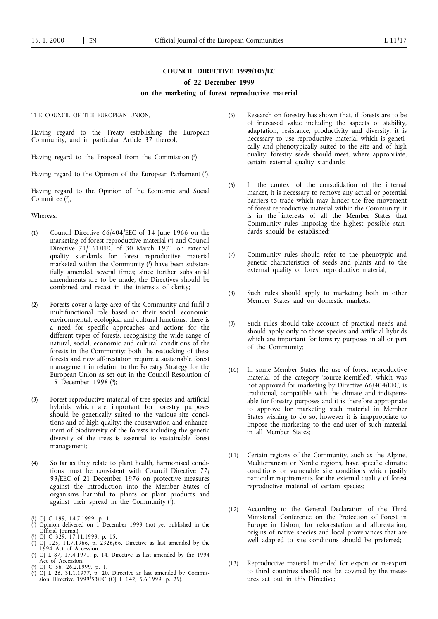# **COUNCIL DIRECTIVE 1999/105/EC**

## **of 22 December 1999**

## **on the marketing of forest reproductive material**

THE COUNCIL OF THE EUROPEAN UNION,

Having regard to the Treaty establishing the European Community, and in particular Article 37 thereof,

Having regard to the Proposal from the Commission (1),

Having regard to the Opinion of the European Parliament (2),

Having regard to the Opinion of the Economic and Social Committee  $(3)$ ,

Whereas:

- (1) Council Directive 66/404/EEC of 14 June 1966 on the marketing of forest reproductive material (4) and Council Directive 71/161/EEC of 30 March 1971 on external quality standards for forest reproductive material marketed within the Community  $(5)$  have been substantially amended several times; since further substantial amendments are to be made, the Directives should be combined and recast in the interests of clarity;
- (2) Forests cover a large area of the Community and fulfil a multifunctional role based on their social, economic, environmental, ecological and cultural functions; there is a need for specific approaches and actions for the different types of forests, recognising the wide range of natural, social, economic and cultural conditions of the forests in the Community; both the restocking of these forests and new afforestation require a sustainable forest management in relation to the Forestry Strategy for the European Union as set out in the Council Resolution of 15 December 1998 (6);
- (3) Forest reproductive material of tree species and artificial hybrids which are important for forestry purposes should be genetically suited to the various site conditions and of high quality; the conservation and enhancement of biodiversity of the forests including the genetic diversity of the trees is essential to sustainable forest management;
- (4) So far as they relate to plant health, harmonised conditions must be consistent with Council Directive 77/ 93/EEC of 21 December 1976 on protective measures against the introduction into the Member States of organisms harmful to plants or plant products and against their spread in the Community  $(\bar{?});$

- ( 2) Opinion delivered on 1 December 1999 (not yet published in the Official Journal).
- ( 3) OJ C 329, 17.11.1999, p. 15.
- ( 4) OJ 125, 11.7.1966, p. 2326/66. Directive as last amended by the 1994 Act of Accession.
- ( 5) OJ L 87, 17.4.1971, p. 14. Directive as last amended by the 1994 Act of Accession. ( 6) OJ C 56, 26.2.1999, p. 1.
- ( 7) OJ L 26, 31.1.1977, p. 20. Directive as last amended by Commission Directive 1999/53/EC (OJ L 142, 5.6.1999, p. 29).
- (5) Research on forestry has shown that, if forests are to be of increased value including the aspects of stability, adaptation, resistance, productivity and diversity, it is necessary to use reproductive material which is genetically and phenotypically suited to the site and of high quality; forestry seeds should meet, where appropriate, certain external quality standards;
- (6) In the context of the consolidation of the internal market, it is necessary to remove any actual or potential barriers to trade which may hinder the free movement of forest reproductive material within the Community; it is in the interests of all the Member States that Community rules imposing the highest possible standards should be established:
- (7) Community rules should refer to the phenotypic and genetic characteristics of seeds and plants and to the external quality of forest reproductive material;
- (8) Such rules should apply to marketing both in other Member States and on domestic markets;
- (9) Such rules should take account of practical needs and should apply only to those species and artificial hybrids which are important for forestry purposes in all or part of the Community;
- (10) In some Member States the use of forest reproductive material of the category 'source-identified', which was not approved for marketing by Directive 66/404/EEC, is traditional, compatible with the climate and indispensable for forestry purposes and it is therefore appropriate to approve for marketing such material in Member States wishing to do so; however it is inappropriate to impose the marketing to the end-user of such material in all Member States;
- (11) Certain regions of the Community, such as the Alpine, Mediterranean or Nordic regions, have specific climatic conditions or vulnerable site conditions which justify particular requirements for the external quality of forest reproductive material of certain species;
- (12) According to the General Declaration of the Third Ministerial Conference on the Protection of Forest in Europe in Lisbon, for reforestation and afforestation, origins of native species and local provenances that are well adapted to site conditions should be preferred;
- (13) Reproductive material intended for export or re-export to third countries should not be covered by the measures set out in this Directive;

<sup>(</sup> 1) OJ C 199, 14.7.1999, p. 1.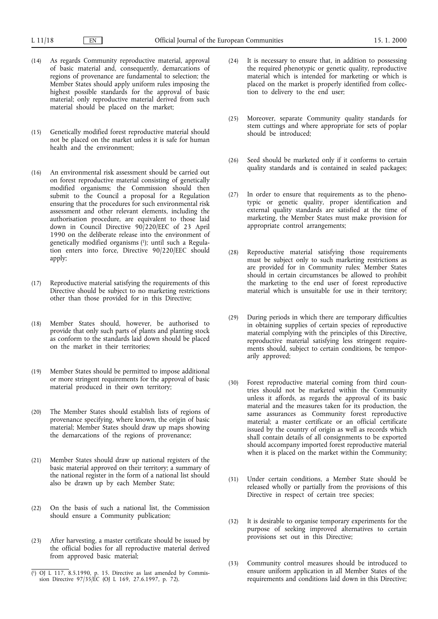- (14) As regards Community reproductive material, approval of basic material and, consequently, demarcations of regions of provenance are fundamental to selection; the Member States should apply uniform rules imposing the highest possible standards for the approval of basic material; only reproductive material derived from such material should be placed on the market;
- (15) Genetically modified forest reproductive material should not be placed on the market unless it is safe for human health and the environment;
- (16) An environmental risk assessment should be carried out on forest reproductive material consisting of genetically modified organisms; the Commission should then submit to the Council a proposal for a Regulation ensuring that the procedures for such environmental risk assessment and other relevant elements, including the authorisation procedure, are equivalent to those laid down in Council Directive 90/220/EEC of 23 April 1990 on the deliberate release into the environment of genetically modified organisms (1); until such a Regulation enters into force, Directive 90/220/EEC should apply;
- (17) Reproductive material satisfying the requirements of this Directive should be subject to no marketing restrictions other than those provided for in this Directive;
- (18) Member States should, however, be authorised to provide that only such parts of plants and planting stock as conform to the standards laid down should be placed on the market in their territories;
- (19) Member States should be permitted to impose additional or more stringent requirements for the approval of basic material produced in their own territory;
- (20) The Member States should establish lists of regions of provenance specifying, where known, the origin of basic material; Member States should draw up maps showing the demarcations of the regions of provenance;
- (21) Member States should draw up national registers of the basic material approved on their territory; a summary of the national register in the form of a national list should also be drawn up by each Member State;
- (22) On the basis of such a national list, the Commission should ensure a Community publication;
- (23) After harvesting, a master certificate should be issued by the official bodies for all reproductive material derived from approved basic material;
- (24) It is necessary to ensure that, in addition to possessing the required phenotypic or genetic quality, reproductive material which is intended for marketing or which is placed on the market is properly identified from collection to delivery to the end user;
- (25) Moreover, separate Community quality standards for stem cuttings and where appropriate for sets of poplar should be introduced;
- (26) Seed should be marketed only if it conforms to certain quality standards and is contained in sealed packages;
- (27) In order to ensure that requirements as to the phenotypic or genetic quality, proper identification and external quality standards are satisfied at the time of marketing, the Member States must make provision for appropriate control arrangements;
- (28) Reproductive material satisfying those requirements must be subject only to such marketing restrictions as are provided for in Community rules; Member States should in certain circumstances be allowed to prohibit the marketing to the end user of forest reproductive material which is unsuitable for use in their territory;
- (29) During periods in which there are temporary difficulties in obtaining supplies of certain species of reproductive material complying with the principles of this Directive, reproductive material satisfying less stringent requirements should, subject to certain conditions, be temporarily approved;
- (30) Forest reproductive material coming from third countries should not be marketed within the Community unless it affords, as regards the approval of its basic material and the measures taken for its production, the same assurances as Community forest reproductive material; a master certificate or an official certificate issued by the country of origin as well as records which shall contain details of all consignments to be exported should accompany imported forest reproductive material when it is placed on the market within the Community;
- (31) Under certain conditions, a Member State should be released wholly or partially from the provisions of this Directive in respect of certain tree species;
- (32) It is desirable to organise temporary experiments for the purpose of seeking improved alternatives to certain provisions set out in this Directive;
- (33) Community control measures should be introduced to ensure uniform application in all Member States of the (i) OJ L 117, 8.5.1990, p. 15. Directive as last amended by Commis-<br>
sion Directive 97/35/EC (OJ L 169, 27.6.1997, p. 72).<br>
requirements and conditions laid down in this Directive;

sion Directive 97/35/EC (OJ L 169, 27.6.1997, p. 72).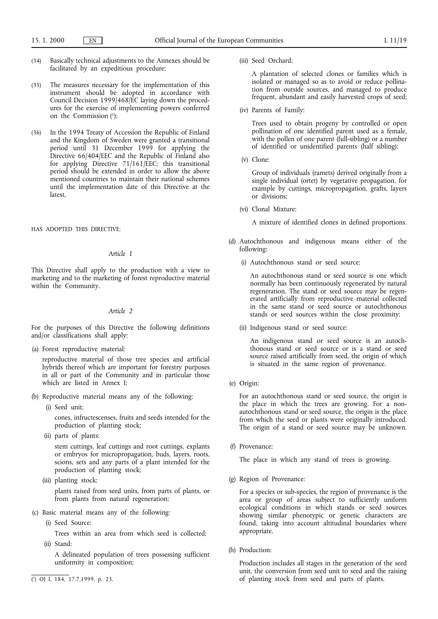- (34) Basically technical adjustments to the Annexes should be facilitated by an expeditious procedure;
- (35) The measures necessary for the implementation of this instrument should be adopted in accordance with Council Decision 1999/468/EC laying down the procedures for the exercise of implementing powers conferred on the Commission (1);
- (36) In the 1994 Treaty of Accession the Republic of Finland and the Kingdom of Sweden were granted a transitional period until 31 December 1999 for applying the Directive 66/404/EEC and the Republic of Finland also for applying Directive 71/161/EEC; this transitional period should be extended in order to allow the above mentioned countries to maintain their national schemes until the implementation date of this Directive at the latest,

HAS ADOPTED THIS DIRECTIVE:

# *Article 1*

This Directive shall apply to the production with a view to marketing and to the marketing of forest reproductive material within the Community.

## *Article 2*

For the purposes of this Directive the following definitions and/or classifications shall apply:

(a) Forest reproductive material:

reproductive material of those tree species and artificial hybrids thereof which are important for forestry purposes in all or part of the Community and in particular those which are listed in Annex I;

- (b) Reproductive material means any of the following:
	- (i) Seed unit:

cones, infructescenses, fruits and seeds intended for the production of planting stock;

(ii) parts of plants:

stem cuttings, leaf cuttings and root cuttings, explants or embryos for micropropagation, buds, layers, roots, scions, sets and any parts of a plant intended for the production of planting stock;

(iii) planting stock:

plants raised from seed units, from parts of plants, or from plants from natural regeneration;

- (c) Basic material means any of the following:
	- (i) Seed Source:

Trees within an area from which seed is collected;

(ii) Stand:

A delineated population of trees possessing sufficient uniformity in composition;

(iii) Seed Orchard:

A plantation of selected clones or families which is isolated or managed so as to avoid or reduce pollination from outside sources, and managed to produce frequent, abundant and easily harvested crops of seed;

(iv) Parents of Family:

Trees used to obtain progeny by controlled or open pollination of one identified parent used as a female, with the pollen of one parent (full-sibling) or a number of identified or unidentified parents (half sibling);

(v) Clone:

Group of individuals (ramets) derived originally from a single individual (ortet) by vegetative propagation, for example by cuttings, micropropagation, grafts, layers or divisions;

(vi) Clonal Mixture:

A mixture of identified clones in defined proportions.

- (d) Autochthonous and indigenous means either of the following:
	- (i) Autochthonous stand or seed source:

An autochthonous stand or seed source is one which normally has been continuously regenerated by natural regeneration. The stand or seed source may be regenerated artificially from reproductive material collected in the same stand or seed source or autochthonous stands or seed sources within the close proximity;

(ii) Indigenous stand or seed source:

An indigenous stand or seed source is an autochthonous stand or seed source or is a stand or seed source raised artificially from seed, the origin of which is situated in the same region of provenance.

(e) Origin:

For an autochthonous stand or seed source, the origin is the place in which the trees are growing. For a nonautochthonous stand or seed source, the origin is the place from which the seed or plants were originally introduced. The origin of a stand or seed source may be unknown.

(f) Provenance:

The place in which any stand of trees is growing.

(g) Region of Provenance:

For a species or sub-species, the region of provenance is the area or group of areas subject to sufficiently uniform ecological conditions in which stands or seed sources showing similar phenotypic or genetic characters are found, taking into account altitudinal boundaries where appropriate.

(h) Production:

Production includes all stages in the generation of the seed unit, the conversion from seed unit to seed and the raising (1) OJ L 184, 17.7.1999, p. 23. The stock from seed and parts of plants.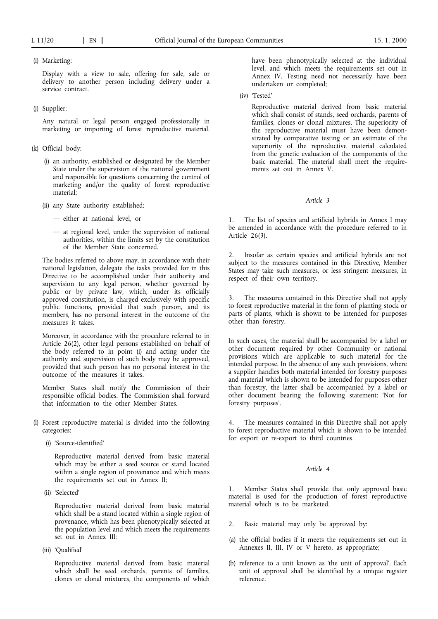# (i) Marketing:

Display with a view to sale, offering for sale, sale or delivery to another person including delivery under a service contract.

## (j) Supplier:

Any natural or legal person engaged professionally in marketing or importing of forest reproductive material.

- (k) Official body:
	- (i) an authority, established or designated by the Member State under the supervision of the national government and responsible for questions concerning the control of marketing and/or the quality of forest reproductive material;
	- (ii) any State authority established:
		- either at national level, or
		- at regional level, under the supervision of national authorities, within the limits set by the constitution of the Member State concerned.

The bodies referred to above may, in accordance with their national legislation, delegate the tasks provided for in this Directive to be accomplished under their authority and supervision to any legal person, whether governed by public or by private law, which, under its officially approved constitution, is charged exclusively with specific public functions, provided that such person, and its members, has no personal interest in the outcome of the measures it takes.

Moreover, in accordance with the procedure referred to in Article 26(2), other legal persons established on behalf of the body referred to in point (i) and acting under the authority and supervision of such body may be approved, provided that such person has no personal interest in the outcome of the measures it takes.

Member States shall notify the Commission of their responsible official bodies. The Commission shall forward that information to the other Member States.

- (l) Forest reproductive material is divided into the following categories:
	- (i) 'Source-identified'

Reproductive material derived from basic material which may be either a seed source or stand located within a single region of provenance and which meets the requirements set out in Annex II;

(ii) 'Selected'

Reproductive material derived from basic material which shall be a stand located within a single region of provenance, which has been phenotypically selected at the population level and which meets the requirements set out in Annex III;

(iii) 'Qualified'

Reproductive material derived from basic material which shall be seed orchards, parents of families, clones or clonal mixtures, the components of which

have been phenotypically selected at the individual level, and which meets the requirements set out in Annex IV. Testing need not necessarily have been undertaken or completed;

(iv) 'Tested'

Reproductive material derived from basic material which shall consist of stands, seed orchards, parents of families, clones or clonal mixtures. The superiority of the reproductive material must have been demonstrated by comparative testing or an estimate of the superiority of the reproductive material calculated from the genetic evaluation of the components of the basic material. The material shall meet the requirements set out in Annex V.

#### *Article 3*

1. The list of species and artificial hybrids in Annex Imay be amended in accordance with the procedure referred to in Article 26(3).

2. Insofar as certain species and artificial hybrids are not subject to the measures contained in this Directive, Member States may take such measures, or less stringent measures, in respect of their own territory.

3. The measures contained in this Directive shall not apply to forest reproductive material in the form of planting stock or parts of plants, which is shown to be intended for purposes other than forestry.

In such cases, the material shall be accompanied by a label or other document required by other Community or national provisions which are applicable to such material for the intended purpose. In the absence of any such provisions, where a supplier handles both material intended for forestry purposes and material which is shown to be intended for purposes other than forestry, the latter shall be accompanied by a label or other document bearing the following statement: 'Not for forestry purposes'.

The measures contained in this Directive shall not apply to forest reproductive material which is shown to be intended for export or re-export to third countries.

# *Article 4*

1. Member States shall provide that only approved basic material is used for the production of forest reproductive material which is to be marketed.

- 2. Basic material may only be approved by:
- (a) the official bodies if it meets the requirements set out in Annexes II, III, IV or V hereto, as appropriate;
- (b) reference to a unit known as 'the unit of approval'. Each unit of approval shall be identified by a unique register reference.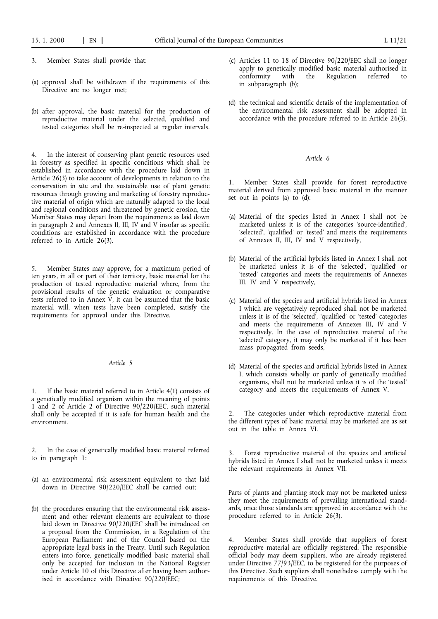- 3. Member States shall provide that:
- (a) approval shall be withdrawn if the requirements of this Directive are no longer met;
- (b) after approval, the basic material for the production of reproductive material under the selected, qualified and tested categories shall be re-inspected at regular intervals.

4. In the interest of conserving plant genetic resources used in forestry as specified in specific conditions which shall be established in accordance with the procedure laid down in Article 26(3) to take account of developments in relation to the conservation *in situ* and the sustainable use of plant genetic resources through growing and marketing of forestry reproductive material of origin which are naturally adapted to the local and regional conditions and threatened by genetic erosion, the Member States may depart from the requirements as laid down in paragraph 2 and Annexes II, III, IV and V insofar as specific conditions are established in accordance with the procedure referred to in Article 26(3).

5. Member States may approve, for a maximum period of ten years, in all or part of their territory, basic material for the production of tested reproductive material where, from the provisional results of the genetic evaluation or comparative tests referred to in Annex  $\check{V}$ , it can be assumed that the basic material will, when tests have been completed, satisfy the requirements for approval under this Directive.

## *Article 5*

1. If the basic material referred to in Article 4(1) consists of a genetically modified organism within the meaning of points 1 and 2 of Article 2 of Directive 90/220/EEC, such material shall only be accepted if it is safe for human health and the environment.

- 2. In the case of genetically modified basic material referred to in paragraph 1:
- (a) an environmental risk assessment equivalent to that laid down in Directive 90/220/EEC shall be carried out;
- (b) the procedures ensuring that the environmental risk assessment and other relevant elements are equivalent to those laid down in Directive 90/220/EEC shall be introduced on a proposal from the Commission, in a Regulation of the European Parliament and of the Council based on the appropriate legal basis in the Treaty. Until such Regulation enters into force, genetically modified basic material shall only be accepted for inclusion in the National Register under Article 10 of this Directive after having been authorised in accordance with Directive 90/220/EEC;
- (c) Articles 11 to 18 of Directive 90/220/EEC shall no longer apply to genetically modified basic material authorised in conformity with the Regulation referred to Regulation in subparagraph (b);
- (d) the technical and scientific details of the implementation of the environmental risk assessment shall be adopted in accordance with the procedure referred to in Article 26(3).

# *Article 6*

1. Member States shall provide for forest reproductive material derived from approved basic material in the manner set out in points (a) to (d):

- (a) Material of the species listed in Annex I shall not be marketed unless it is of the categories 'source-identified', 'selected', 'qualified' or 'tested' and meets the requirements of Annexes II, III, IV and V respectively,
- (b) Material of the artificial hybrids listed in Annex I shall not be marketed unless it is of the 'selected', 'qualified' or 'tested' categories and meets the requirements of Annexes III, IV and V respectively,
- (c) Material of the species and artificial hybrids listed in Annex Iwhich are vegetatively reproduced shall not be marketed unless it is of the 'selected', 'qualified' or 'tested' categories and meets the requirements of Annexes III, IV and V respectively. In the case of reproductive material of the 'selected' category, it may only be marketed if it has been mass propagated from seeds,
- (d) Material of the species and artificial hybrids listed in Annex I, which consists wholly or partly of genetically modified organisms, shall not be marketed unless it is of the 'tested' category and meets the requirements of Annex V.

2. The categories under which reproductive material from the different types of basic material may be marketed are as set out in the table in Annex VI.

Forest reproductive material of the species and artificial hybrids listed in Annex I shall not be marketed unless it meets the relevant requirements in Annex VII.

Parts of plants and planting stock may not be marketed unless they meet the requirements of prevailing international standards, once those standards are approved in accordance with the procedure referred to in Article 26(3).

Member States shall provide that suppliers of forest reproductive material are officially registered. The responsible official body may deem suppliers, who are already registered under Directive 77/93/EEC, to be registered for the purposes of this Directive. Such suppliers shall nonetheless comply with the requirements of this Directive.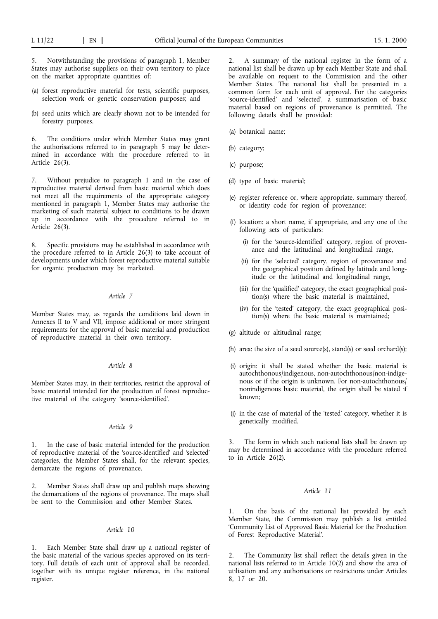5. Notwithstanding the provisions of paragraph 1, Member States may authorise suppliers on their own territory to place on the market appropriate quantities of:

- (a) forest reproductive material for tests, scientific purposes, selection work or genetic conservation purposes; and
- (b) seed units which are clearly shown not to be intended for forestry purposes.

6. The conditions under which Member States may grant the authorisations referred to in paragraph 5 may be determined in accordance with the procedure referred to in Article 26(3).

7. Without prejudice to paragraph 1 and in the case of reproductive material derived from basic material which does not meet all the requirements of the appropriate category mentioned in paragraph 1, Member States may authorise the marketing of such material subject to conditions to be drawn up in accordance with the procedure referred to in Article 26(3).

8. Specific provisions may be established in accordance with the procedure referred to in Article 26(3) to take account of developments under which forest reproductive material suitable for organic production may be marketed.

## *Article 7*

Member States may, as regards the conditions laid down in Annexes II to V and VII, impose additional or more stringent requirements for the approval of basic material and production of reproductive material in their own territory.

# *Article 8*

Member States may, in their territories, restrict the approval of basic material intended for the production of forest reproductive material of the category 'source-identified'.

## *Article 9*

In the case of basic material intended for the production of reproductive material of the 'source-identified' and 'selected' categories, the Member States shall, for the relevant species, demarcate the regions of provenance.

Member States shall draw up and publish maps showing the demarcations of the regions of provenance. The maps shall be sent to the Commission and other Member States.

# *Article 10*

1. Each Member State shall draw up a national register of the basic material of the various species approved on its territory. Full details of each unit of approval shall be recorded, together with its unique register reference, in the national register.

2. A summary of the national register in the form of a national list shall be drawn up by each Member State and shall be available on request to the Commission and the other Member States. The national list shall be presented in a common form for each unit of approval. For the categories 'source-identified' and 'selected', a summarisation of basic material based on regions of provenance is permitted. The following details shall be provided:

- (a) botanical name;
- (b) category;
- (c) purpose;
- (d) type of basic material;
- (e) register reference or, where appropriate, summary thereof, or identity code for region of provenance;
- (f) location: a short name, if appropriate, and any one of the following sets of particulars:
	- (i) for the 'source-identified' category, region of provenance and the latitudinal and longitudinal range,
	- (ii) for the 'selected' category, region of provenance and the geographical position defined by latitude and longitude or the latitudinal and longitudinal range,
	- (iii) for the 'qualified' category, the exact geographical position(s) where the basic material is maintained,
	- (iv) for the 'tested' category, the exact geographical position(s) where the basic material is maintained;
- (g) altitude or altitudinal range;
- (h) area: the size of a seed source(s), stand(s) or seed orchard(s);
- (i) origin: it shall be stated whether the basic material is autochthonous/indigenous, non-autochthonous/non-indigenous or if the origin is unknown. For non-autochthonous/ nonindigenous basic material, the origin shall be stated if known;
- (j) in the case of material of the 'tested' category, whether it is genetically modified.

3. The form in which such national lists shall be drawn up may be determined in accordance with the procedure referred to in Article 26(2).

## *Article 11*

1. On the basis of the national list provided by each Member State, the Commission may publish a list entitled 'Community List of Approved Basic Material for the Production of Forest Reproductive Material'.

2. The Community list shall reflect the details given in the national lists referred to in Article 10(2) and show the area of utilisation and any authorisations or restrictions under Articles 8, 17 or 20.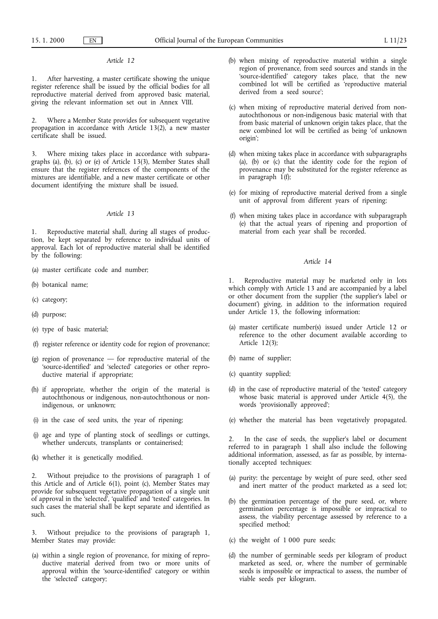# *Article 12*

1. After harvesting, a master certificate showing the unique register reference shall be issued by the official bodies for all reproductive material derived from approved basic material, giving the relevant information set out in Annex VIII.

2. Where a Member State provides for subsequent vegetative propagation in accordance with Article 13(2), a new master certificate shall be issued.

3. Where mixing takes place in accordance with subparagraphs (a), (b), (c) or (e) of Article 13(3), Member States shall ensure that the register references of the components of the mixtures are identifiable, and a new master certificate or other document identifying the mixture shall be issued.

# *Article 13*

1. Reproductive material shall, during all stages of production, be kept separated by reference to individual units of approval. Each lot of reproductive material shall be identified by the following:

- (a) master certificate code and number;
- (b) botanical name;
- (c) category;
- (d) purpose;
- (e) type of basic material;
- (f) register reference or identity code for region of provenance;
- (g) region of provenance for reproductive material of the 'source-identified' and 'selected' categories or other reproductive material if appropriate;
- (h) if appropriate, whether the origin of the material is autochthonous or indigenous, non-autochthonous or nonindigenous, or unknown;
- (i) in the case of seed units, the year of ripening;
- (j) age and type of planting stock of seedlings or cuttings, whether undercuts, transplants or containerised;
- (k) whether it is genetically modified.

2. Without prejudice to the provisions of paragraph 1 of this Article and of Article 6(1), point (c), Member States may provide for subsequent vegetative propagation of a single unit of approval in the 'selected', 'qualified' and 'tested' categories. In such cases the material shall be kept separate and identified as such.

3. Without prejudice to the provisions of paragraph 1, Member States may provide:

(a) within a single region of provenance, for mixing of reproductive material derived from two or more units of approval within the 'source-identified' category or within the 'selected' category;

- (b) when mixing of reproductive material within a single region of provenance, from seed sources and stands in the 'source-identified' category takes place, that the new combined lot will be certified as 'reproductive material derived from a seed source';
- (c) when mixing of reproductive material derived from nonautochthonous or non-indigenous basic material with that from basic material of unknown origin takes place, that the new combined lot will be certified as being 'of unknown origin';
- (d) when mixing takes place in accordance with subparagraphs (a), (b) or (c) that the identity code for the region of provenance may be substituted for the register reference as in paragraph  $1(f)$ ;
- (e) for mixing of reproductive material derived from a single unit of approval from different years of ripening;
- (f) when mixing takes place in accordance with subparagraph (e) that the actual years of ripening and proportion of material from each year shall be recorded.

## *Article 14*

1. Reproductive material may be marketed only in lots which comply with Article 13 and are accompanied by a label or other document from the supplier ('the supplier's label or document') giving, in addition to the information required under Article 13, the following information:

- (a) master certificate number(s) issued under Article 12 or reference to the other document available according to Article 12(3);
- (b) name of supplier;
- (c) quantity supplied;
- (d) in the case of reproductive material of the 'tested' category whose basic material is approved under Article 4(5), the words 'provisionally approved';
- (e) whether the material has been vegetatively propagated.

In the case of seeds, the supplier's label or document referred to in paragraph 1 shall also include the following additional information, assessed, as far as possible, by internationally accepted techniques:

- (a) purity: the percentage by weight of pure seed, other seed and inert matter of the product marketed as a seed lot;
- (b) the germination percentage of the pure seed, or, where germination percentage is impossible or impractical to assess, the viability percentage assessed by reference to a specified method;
- (c) the weight of 1 000 pure seeds;
- (d) the number of germinable seeds per kilogram of product marketed as seed, or, where the number of germinable seeds is impossible or impractical to assess, the number of viable seeds per kilogram.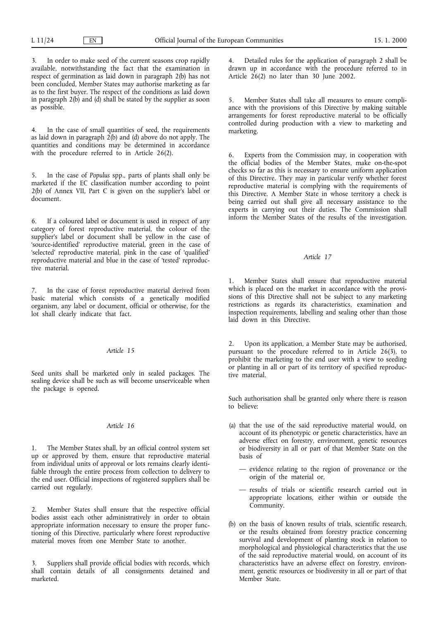3. In order to make seed of the current seasons crop rapidly available, notwithstanding the fact that the examination in respect of germination as laid down in paragraph 2(b) has not been concluded, Member States may authorise marketing as far as to the first buyer. The respect of the conditions as laid down in paragraph 2(b) and (d) shall be stated by the supplier as soon as possible.

4. In the case of small quantities of seed, the requirements as laid down in paragraph 2(b) and (d) above do not apply. The quantities and conditions may be determined in accordance with the procedure referred to in Article 26(2).

5. In the case of *Populus* spp., parts of plants shall only be marketed if the EC classification number according to point 2(b) of Annex VII, Part C is given on the supplier's label or document.

6. If a coloured label or document is used in respect of any category of forest reproductive material, the colour of the supplier's label or document shall be yellow in the case of 'source-identified' reproductive material, green in the case of 'selected' reproductive material, pink in the case of 'qualified' reproductive material and blue in the case of 'tested' reproductive material.

7. In the case of forest reproductive material derived from basic material which consists of a genetically modified organism, any label or document, official or otherwise, for the lot shall clearly indicate that fact.

# *Article 15*

Seed units shall be marketed only in sealed packages. The sealing device shall be such as will become unserviceable when the package is opened.

# *Article 16*

1. The Member States shall, by an official control system set up or approved by them, ensure that reproductive material from individual units of approval or lots remains clearly identifiable through the entire process from collection to delivery to the end user. Official inspections of registered suppliers shall be carried out regularly.

2. Member States shall ensure that the respective official bodies assist each other administratively in order to obtain appropriate information necessary to ensure the proper functioning of this Directive, particularly where forest reproductive material moves from one Member State to another.

3. Suppliers shall provide official bodies with records, which shall contain details of all consignments detained and marketed.

4. Detailed rules for the application of paragraph 2 shall be drawn up in accordance with the procedure referred to in Article 26(2) no later than 30 June 2002.

5. Member States shall take all measures to ensure compliance with the provisions of this Directive by making suitable arrangements for forest reproductive material to be officially controlled during production with a view to marketing and marketing.

6. Experts from the Commission may, in cooperation with the official bodies of the Member States, make on-the-spot checks so far as this is necessary to ensure uniform application of this Directive. They may in particular verify whether forest reproductive material is complying with the requirements of this Directive. A Member State in whose territory a check is being carried out shall give all necessary assistance to the experts in carrying out their duties. The Commission shall inform the Member States of the results of the investigation.

# *Article 17*

1. Member States shall ensure that reproductive material which is placed on the market in accordance with the provisions of this Directive shall not be subject to any marketing restrictions as regards its characteristics, examination and inspection requirements, labelling and sealing other than those laid down in this Directive.

2. Upon its application, a Member State may be authorised, pursuant to the procedure referred to in Article 26(3), to prohibit the marketing to the end user with a view to seeding or planting in all or part of its territory of specified reproductive material.

Such authorisation shall be granted only where there is reason to believe:

- (a) that the use of the said reproductive material would, on account of its phenotypic or genetic characteristics, have an adverse effect on forestry, environment, genetic resources or biodiversity in all or part of that Member State on the basis of
	- evidence relating to the region of provenance or the origin of the material or,
	- results of trials or scientific research carried out in appropriate locations, either within or outside the Community.
- (b) on the basis of known results of trials, scientific research, or the results obtained from forestry practice concerning survival and development of planting stock in relation to morphological and physiological characteristics that the use of the said reproductive material would, on account of its characteristics have an adverse effect on forestry, environment, genetic resources or biodiversity in all or part of that Member State.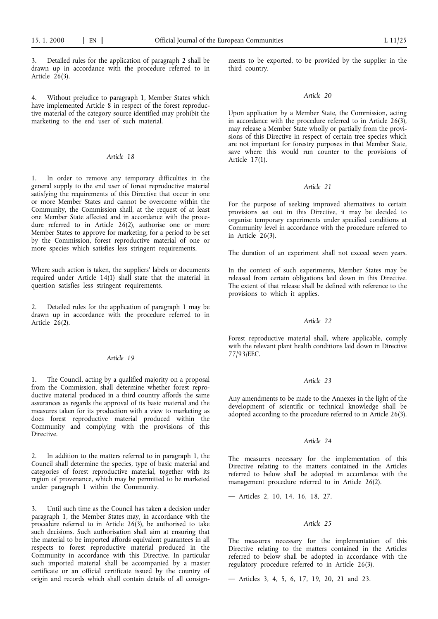3. Detailed rules for the application of paragraph 2 shall be drawn up in accordance with the procedure referred to in Article  $26(3)$ .

4. Without prejudice to paragraph 1, Member States which have implemented Article 8 in respect of the forest reproductive material of the category source identified may prohibit the marketing to the end user of such material.

# *Article 18*

1. In order to remove any temporary difficulties in the general supply to the end user of forest reproductive material satisfying the requirements of this Directive that occur in one or more Member States and cannot be overcome within the Community, the Commission shall, at the request of at least one Member State affected and in accordance with the procedure referred to in Article 26(2), authorise one or more Member States to approve for marketing, for a period to be set by the Commission, forest reproductive material of one or more species which satisfies less stringent requirements.

Where such action is taken, the suppliers' labels or documents required under Article  $14(1)$  shall state that the material in question satisfies less stringent requirements.

2. Detailed rules for the application of paragraph 1 may be drawn up in accordance with the procedure referred to in Article 26(2).

## *Article 19*

1. The Council, acting by a qualified majority on a proposal from the Commission, shall determine whether forest reproductive material produced in a third country affords the same assurances as regards the approval of its basic material and the measures taken for its production with a view to marketing as does forest reproductive material produced within the Community and complying with the provisions of this Directive.

In addition to the matters referred to in paragraph 1, the Council shall determine the species, type of basic material and categories of forest reproductive material, together with its region of provenance, which may be permitted to be marketed under paragraph 1 within the Community.

3. Until such time as the Council has taken a decision under paragraph 1, the Member States may, in accordance with the procedure referred to in Article 26(3), be authorised to take such decisions. Such authorisation shall aim at ensuring that the material to be imported affords equivalent guarantees in all respects to forest reproductive material produced in the Community in accordance with this Directive. In particular such imported material shall be accompanied by a master certificate or an official certificate issued by the country of origin and records which shall contain details of all consignments to be exported, to be provided by the supplier in the third country.

## *Article 20*

Upon application by a Member State, the Commission, acting in accordance with the procedure referred to in Article 26(3), may release a Member State wholly or partially from the provisions of this Directive in respect of certain tree species which are not important for forestry purposes in that Member State, save where this would run counter to the provisions of Article 17(1).

## *Article 21*

For the purpose of seeking improved alternatives to certain provisions set out in this Directive, it may be decided to organise temporary experiments under specified conditions at Community level in accordance with the procedure referred to in Article  $26(3)$ .

The duration of an experiment shall not exceed seven years.

In the context of such experiments, Member States may be released from certain obligations laid down in this Directive. The extent of that release shall be defined with reference to the provisions to which it applies.

# *Article 22*

Forest reproductive material shall, where applicable, comply with the relevant plant health conditions laid down in Directive 77/93/EEC.

#### *Article 23*

Any amendments to be made to the Annexes in the light of the development of scientific or technical knowledge shall be adopted according to the procedure referred to in Article 26(3).

## *Article 24*

The measures necessary for the implementation of this Directive relating to the matters contained in the Articles referred to below shall be adopted in accordance with the management procedure referred to in Article 26(2).

— Articles 2, 10, 14, 16, 18, 27.

#### *Article 25*

The measures necessary for the implementation of this Directive relating to the matters contained in the Articles referred to below shall be adopted in accordance with the regulatory procedure referred to in Article 26(3).

— Articles 3, 4, 5, 6, 17, 19, 20, 21 and 23.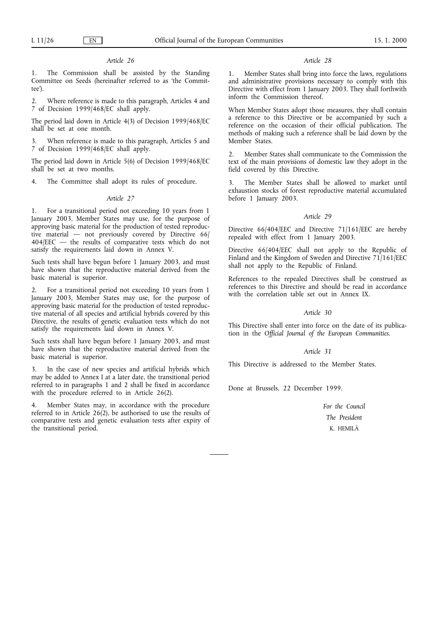# *Article 26*

The Commission shall be assisted by the Standing Committee on Seeds (hereinafter referred to as 'the Committee').

Where reference is made to this paragraph, Articles 4 and 7 of Decision 1999/468/EC shall apply.

The period laid down in Article 4(3) of Decision 1999/468/EC shall be set at one month.

3. When reference is made to this paragraph, Articles 5 and 7 of Decision 1999/468/EC shall apply.

The period laid down in Article 5(6) of Decision 1999/468/EC shall be set at two months.

4. The Committee shall adopt its rules of procedure.

#### *Article 27*

1. For a transitional period not exceeding 10 years from 1 January 2003, Member States may use, for the purpose of approving basic material for the production of tested reproductive material — not previously covered by Directive 66/ 404/EEC — the results of comparative tests which do not satisfy the requirements laid down in Annex V.

Such tests shall have begun before 1 January 2003, and must have shown that the reproductive material derived from the basic material is superior.

For a transitional period not exceeding 10 years from 1 January 2003, Member States may use, for the purpose of approving basic material for the production of tested reproductive material of all species and artificial hybrids covered by this Directive, the results of genetic evaluation tests which do not satisfy the requirements laid down in Annex V.

Such tests shall have begun before 1 January 2003, and must have shown that the reproductive material derived from the basic material is superior.

3. In the case of new species and artificial hybrids which may be added to Annex Iat a later date, the transitional period referred to in paragraphs 1 and 2 shall be fixed in accordance with the procedure referred to in Article 26(2).

4. Member States may, in accordance with the procedure referred to in Article 26(2), be authorised to use the results of comparative tests and genetic evaluation tests after expiry of the transitional period.

### *Article 28*

1. Member States shall bring into force the laws, regulations and administrative provisions necessary to comply with this Directive with effect from 1 January 2003. They shall forthwith inform the Commission thereof.

When Member States adopt those measures, they shall contain a reference to this Directive or be accompanied by such a reference on the occasion of their official publication. The methods of making such a reference shall be laid down by the Member States.

2. Member States shall communicate to the Commission the text of the main provisions of domestic law they adopt in the field covered by this Directive.

3. The Member States shall be allowed to market until exhaustion stocks of forest reproductive material accumulated before 1 January 2003.

#### *Article 29*

Directive 66/404/EEC and Directive 71/161/EEC are hereby repealed with effect from 1 January 2003.

Directive 66/404/EEC shall not apply to the Republic of Finland and the Kingdom of Sweden and Directive 71/161/EEC shall not apply to the Republic of Finland.

References to the repealed Directives shall be construed as references to this Directive and should be read in accordance with the correlation table set out in Annex IX.

# *Article 30*

This Directive shall enter into force on the date of its publication in the *Official Journal of the European Communities*.

## *Article 31*

This Directive is addressed to the Member States.

Done at Brussels, 22 December 1999.

*For the Council The President* K. HEMILÄ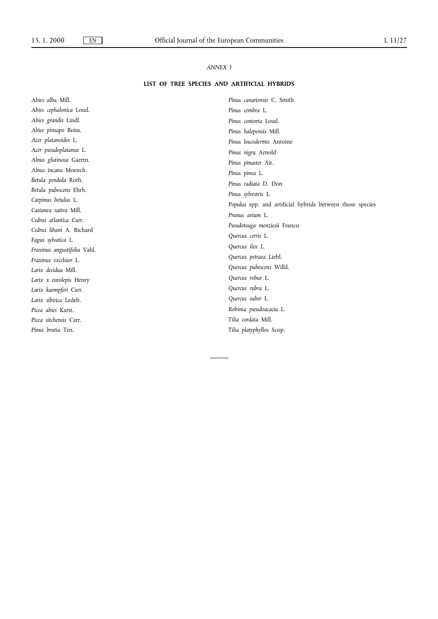# *ANNEX I*

# **LIST OF TREE SPECIES AND ARTIFICIAL HYBRIDS**

*Abies alba* Mill. *Abies cephalonica* Loud. *Abies grandis* Lindl. *Abies pinsapo* Boiss. *Acer platanoides* L. *Acer pseudoplatanus* L. *Alnus glutinosa* Gaertn. *Alnus incana* Moench. *Betula pendula* Roth. *Betula pubescens* Ehrh. *Carpinus betulus* L. *Castanea sativa* Mill. *Cedrus atlantica* Carr. *Cedrus libani* A. Richard *Fagus sylvatica* L. *Fraxinus angustifolia* Vahl. *Fraxinus excelsior* L. *Larix decidua* Mill. *Larix x eurolepis* Henry *Larix kaempferi* Carr. *Larix sibirica* Ledeb. *Picea abies* Karst. *Picea sitchensis* Carr. *Pinus brutia* Ten.

*Pinus canariensis* C. Smith *Pinus cembra* L. *Pinus contorta* Loud. *Pinus halepensis* Mill. *Pinus leucodermis* Antoine *Pinus nigra* Arnold *Pinus pinaster* Ait. *Pinus pinea* L. *Pinus radiata* D. Don *Pinus sylvestris* L. *Populus* spp. and artificial hybrids between those species *Prunus avium* L. *Pseudotsuga menziesii* Franco *Quercus cerris* L. *Quercus ilex* L. *Quercus petraea* Liebl. *Quercus pubescens* Willd. *Quercus robur* L. *Quercus rubra* L. *Quercus suber* L. *Robinia pseudoacacia* L. *Tilia cordata* Mill. *Tilia platyphyllos* Scop.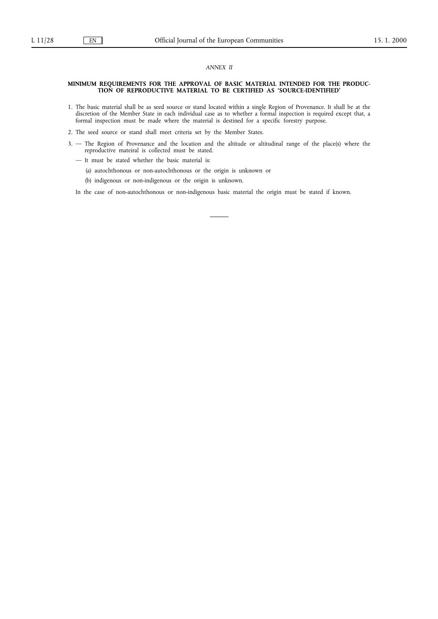### *ANNEX II*

#### **MINIMUM REQUIREMENTS FOR THE APPROVAL OF BASIC MATERIAL INTENDED FOR THE PRODUC-TION OF REPRODUCTIVE MATERIAL TO BE CERTIFIED AS 'SOURCE-IDENTIFIED'**

- 1. The basic material shall be as seed source or stand located within a single Region of Provenance. It shall be at the discretion of the Member State in each individual case as to whether a formal inspection is required except that, a formal inspection must be made where the material is destined for a specific forestry purpose.
- 2. The seed source or stand shall meet criteria set by the Member States.
- 3. The Region of Provenance and the location and the altitude or altitudinal range of the place(s) where the reproductive mateiral is collected must be stated.
	- It must be stated whether the basic material is:
		- (a) autochthonous or non-autochthonous or the origin is unknown or
		- (b) indigenous or non-indigenous or the origin is unknown.

In the case of non-autochthonous or non-indigenous basic material the origin must be stated if known.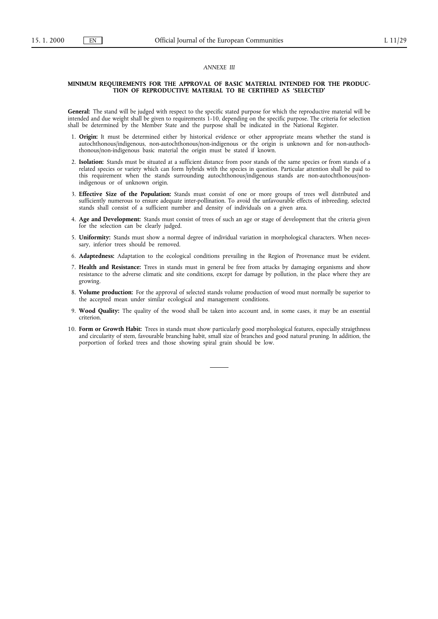## *ANNEXE III*

#### **MINIMUM REQUIREMENTS FOR THE APPROVAL OF BASIC MATERIAL INTENDED FOR THE PRODUC-TION OF REPRODUCTIVE MATERIAL TO BE CERTIFIED AS 'SELECTED'**

**General:** The stand will be judged with respect to the specific stated purpose for which the reproductive material will be intended and due weight shall be given to requirements 1-10, depending on the specific purpose. The criteria for selection shall be determined by the Member State and the purpose shall be indicated in the National Register.

- 1. **Origin:** It must be determined either by historical evidence or other appropriate means whether the stand is autochthonous/indigenous, non-autochthonous/non-indigenous or the origin is unknown and for non-authochthonous/non-indigenous basic material the origin must be stated if known.
- 2. **Isolation:** Stands must be situated at a sufficient distance from poor stands of the same species or from stands of a related species or variety which can form hybrids with the species in question. Particular attention shall be paid to this requirement when the stands surrounding autochthonous/indigenous stands are non-autochthonous/nonindigenous or of unknown origin.
- 3. **Effective Size of the Population:** Stands must consist of one or more groups of trees well distributed and sufficiently numerous to ensure adequate inter-pollination. To avoid the unfavourable effects of inbreeding, selected stands shall consist of a sufficient number and density of individuals on a given area.
- 4. **Age and Development:** Stands must consist of trees of such an age or stage of development that the criteria given for the selection can be clearly judged.
- 5. **Uniformity:** Stands must show a normal degree of individual variation in morphological characters. When necessary, inferior trees should be removed.
- 6. **Adaptedness:** Adaptation to the ecological conditions prevailing in the Region of Provenance must be evident.
- 7. **Health and Resistance:** Trees in stands must in general be free from attacks by damaging organisms and show resistance to the adverse climatic and site conditions, except for damage by pollution, in the place where they are growing.
- 8. **Volume production:** For the approval of selected stands volume production of wood must normally be superior to the accepted mean under similar ecological and management conditions.
- 9. **Wood Quality:** The quality of the wood shall be taken into account and, in some cases, it may be an essential criterion.
- 10. **Form or Growth Habit:** Trees in stands must show particularly good morphological features, especially straigthness and circularity of stem, favourable branching habit, small size of branches and good natural pruning. In addition, the porportion of forked trees and those showing spiral grain should be low.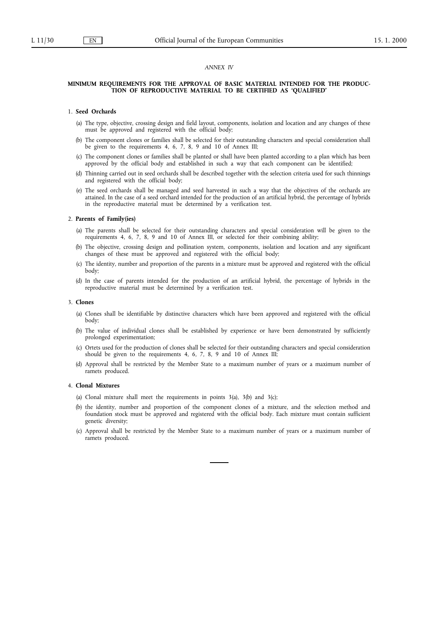## *ANNEX IV*

#### **MINIMUM REQUIREMENTS FOR THE APPROVAL OF BASIC MATERIAL INTENDED FOR THE PRODUC-TION OF REPRODUCTIVE MATERIAL TO BE CERTIFIED AS 'QUALIFIED'**

### 1. **Seed Orchards**

- (a) The type, objective, crossing design and field layout, components, isolation and location and any changes of these must be approved and registered with the official body;
- (b) The component clones or families shall be selected for their outstanding characters and special consideration shall be given to the requirements 4, 6, 7, 8, 9 and 10 of Annex III;
- (c) The component clones or families shall be planted or shall have been planted according to a plan which has been approved by the official body and established in such a way that each component can be identified;
- (d) Thinning carried out in seed orchards shall be described together with the selection criteria used for such thinnings and registered with the official body;
- (e) The seed orchards shall be managed and seed harvested in such a way that the objectives of the orchards are attained. In the case of a seed orchard intended for the production of an artificial hybrid, the percentage of hybrids in the reproductive material must be determined by a verification test.

#### 2. Parents of Family(ies)

- (a) The parents shall be selected for their outstanding characters and special consideration will be given to the requirements 4, 6, 7, 8, 9 and 10 of Annex III, or selected for their combining ability;
- (b) The objective, crossing design and pollination system, components, isolation and location and any significant changes of these must be approved and registered with the official body;
- (c) The identity, number and proportion of the parents in a mixture must be approved and registered with the official body;
- (d) In the case of parents intended for the production of an artificial hybrid, the percentage of hybrids in the reproductive material must be determined by a verification test.

#### 3. **Clones**

- (a) Clones shall be identifiable by distinctive characters which have been approved and registered with the official body;
- (b) The value of individual clones shall be established by experience or have been demonstrated by sufficiently prolonged experimentation;
- (c) Ortets used for the production of clones shall be selected for their outstanding characters and special consideration should be given to the requirements 4, 6, 7, 8, 9 and 10 of Annex III;
- (d) Approval shall be restricted by the Member State to a maximum number of years or a maximum number of ramets produced.

## 4. **Clonal Mixtures**

- (a) Clonal mixture shall meet the requirements in points  $3(a)$ ,  $3(b)$  and  $3(c)$ ;
- (b) the identity, number and proportion of the component clones of a mixture, and the selection method and foundation stock must be approved and registered with the official body. Each mixture must contain sufficient genetic diversity;
- (c) Approval shall be restricted by the Member State to a maximum number of years or a maximum number of ramets produced.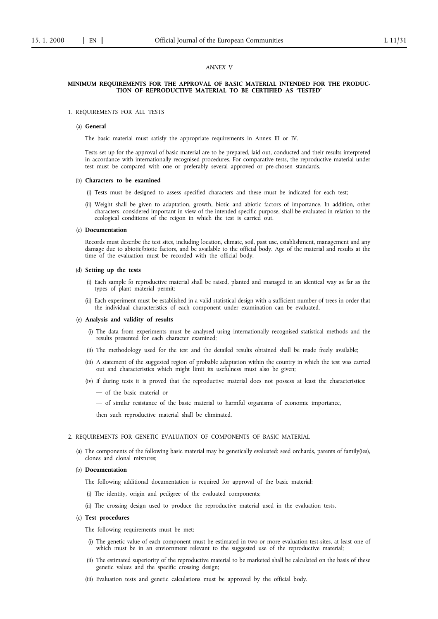### *ANNEX V*

#### **MINIMUM REQUIREMENTS FOR THE APPROVAL OF BASIC MATERIAL INTENDED FOR THE PRODUC-TION OF REPRODUCTIVE MATERIAL TO BE CERTIFIED AS 'TESTED'**

#### 1. REQUIREMENTS FOR ALL TESTS

#### (a) **General**

The basic material must satisfy the appropriate requirements in Annex III or IV.

Tests set up for the approval of basic material are to be prepared, laid out, conducted and their results interpreted in accordance with internationally recognised procedures. For comparative tests, the reproductive material under test must be compared with one or preferably several approved or pre-chosen standards.

#### (b) **Characters to be examined**

- (i) Tests must be designed to assess specified characters and these must be indicated for each test;
- (ii) Weight shall be given to adaptation, growth, biotic and abiotic factors of importance. In addition, other characters, considered important in view of the intended specific purpose, shall be evaluated in relation to the ecological conditions of the reigon in which the test is carried out.

#### (c) **Documentation**

Records must describe the test sites, including location, climate, soil, past use, establishment, management and any damage due to abiotic/biotic factors, and be available to the official body. Age of the material and results at the time of the evaluation must be recorded with the official body.

## (d) **Setting up the tests**

- (i) Each sample fo reproductive material shall be raised, planted and managed in an identical way as far as the types of plant material permit;
- (ii) Each experiment must be established in a valid statistical design with a sufficient number of trees in order that the individual characteristics of each component under examination can be evaluated.

#### (e) **Analysis and validity of results**

- (i) The data from experiments must be analysed using internationally recognised statistical methods and the results presented for each character examined;
- (ii) The methodology used for the test and the detailed results obtained shall be made freely available;
- (iii) A statement of the suggested region of probable adaptation within the country in which the test was carried out and characteristics which might limit its usefulness must also be given;
- (iv) If during tests it is proved that the reproductive material does not possess at least the characteristics:
	- of the basic material or
	- of similar resistance of the basic material to harmful organisms of economic importance,

then such reproductive material shall be eliminated.

#### 2. REQUIREMENTS FOR GENETIC EVALUATION OF COMPONENTS OF BASIC MATERIAL

(a) The components of the following basic material may be genetically evaluated: seed orchards, parents of family(ies), clones and clonal mixtures;

#### (b) **Documentation**

The following additional documentation is required for approval of the basic material:

- (i) The identity, origin and pedigree of the evaluated components;
- (ii) The crossing design used to produce the reproductive material used in the evaluation tests.

# (c) **Test procedures**

The following requirements must be met:

- (i) The genetic value of each component must be estimated in two or more evaluation test-sites, at least one of which must be in an enviornment relevant to the suggested use of the reproductive material;
- (ii) The estimated superiority of the reproductive material to be marketed shall be calculated on the basis of these genetic values and the specific crossing design;
- (iii) Evaluation tests and genetic calculations must be approved by the official body.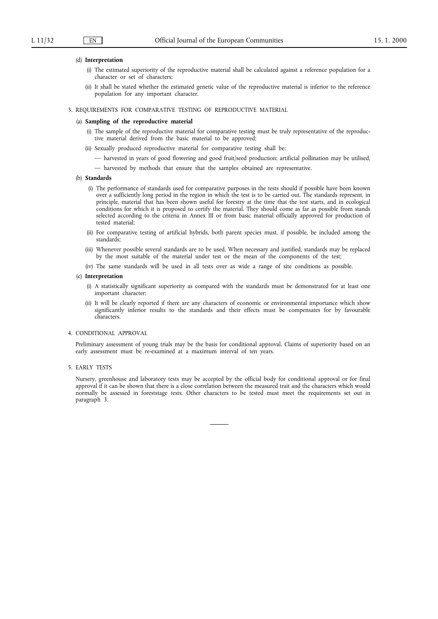#### (d) **Interpretation**

- (i) The estimated superiority of the reproductive material shall be calculated against a reference population for a character or set of characters;
- (ii) It shall be stated whether the estimated genetic value of the reproductive material is inferior to the reference population for any important character.

#### 3. REQUIREMENTS FOR COMPARATIVE TESTING OF REPRODUCTIVE MATERIAL

#### (a) **Sampling of the reproductive material**

- (i) The sample of the reproductive material for comparative testing must be truly representative of the reproductive material derived from the basic material to be approved;
- (ii) Sexually produced reproductive material for comparative testing shall be:
	- harvested in years of good flowering and good fruit/seed production; artificial pollination may be utilised,
	- harvested by methods that ensure that the samples obtained are representative.
- (b) **Standards**
	- (i) The performance of standards used for comparative purposes in the tests should if possible have been known over a sufficiently long period in the region in which the test is to be carried out. The standards represent, in principle, material that has been shown useful for forestry at the time that the test starts, and in ecological conditions for which it is proposed to certify the material. They should come as far as possible from stands selected according to the criteria in Annex III or from basic material officially approved for production of tested material;
	- (ii) For comparative testing of artificial hybrids, both parent species must, if possible, be included among the standards;
	- (iii) Whenever possible several standards are to be used. When necessary and justified, standards may be replaced by the most suitable of the material under test or the mean of the components of the test;
	- (iv) The same standards will be used in all tests over as wide a range of site conditions as possible.

#### (c) **Interpretation**

- (i) A statistically significant superiority as compared with the standards must be demonstrated for at least one important character;
- (ii) It will be clearly reported if there are any characters of economic or environmental importance which show significantly inferior results to the standards and their effects must be compensates for by favourable characters.

#### 4. CONDITIONAL APPROVAL

Preliminary assessment of young trials may be the basis for conditional approval. Claims of superiority based on an early assessment must be re-examined at a maximum interval of ten years.

#### 5. EARLY TESTS

Nursery, greenhouse and laboratory tests may be accepted by the official body for conditional approval or for final approval if it can be shown that there is a close correlation between the measured trait and the characters which would normally be assessed in foreststage tests. Other characters to be tested must meet the requirements set out in paragraph 3.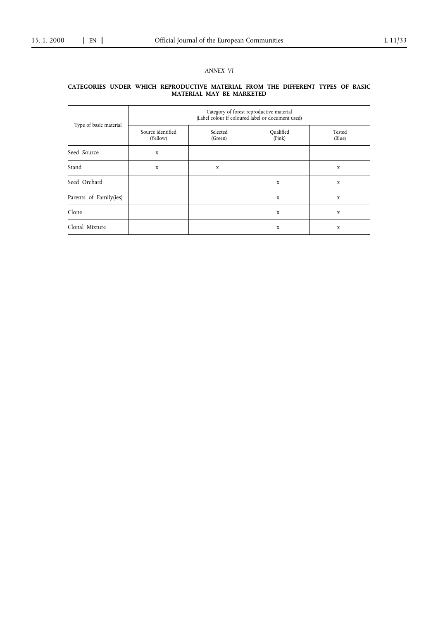# *ANNEX VI*

#### **CATEGORIES UNDER WHICH REPRODUCTIVE MATERIAL FROM THE DIFFERENT TYPES OF BASIC MATERIAL MAY BE MARKETED**

|                        | Category of forest reproductive material<br>(Label colour if coloured label or document used) |                     |                     |                  |  |  |  |
|------------------------|-----------------------------------------------------------------------------------------------|---------------------|---------------------|------------------|--|--|--|
| Type of basic material | Source identified<br>(Yellow)                                                                 | Selected<br>(Green) | Qualified<br>(Pink) | Tested<br>(Blue) |  |  |  |
| Seed Source            | $\mathbf X$                                                                                   |                     |                     |                  |  |  |  |
| Stand                  | $\mathbf X$                                                                                   | X                   |                     | $\mathbf x$      |  |  |  |
| Seed Orchard           |                                                                                               |                     | $\mathbf X$         | X                |  |  |  |
| Parents of Family(ies) |                                                                                               |                     | X                   | X                |  |  |  |
| Clone                  |                                                                                               |                     | X                   | X                |  |  |  |
| Clonal Mixture         |                                                                                               |                     | $\mathbf X$         | X                |  |  |  |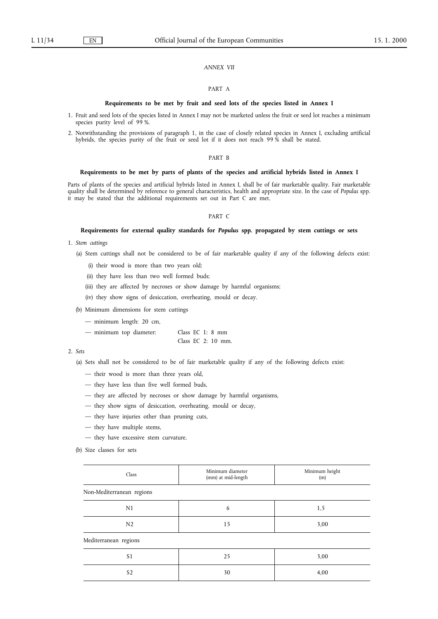## *ANNEX VII*

# PART A

#### **Requirements to be met by fruit and seed lots of the species listed in Annex I**

- 1. Fruit and seed lots of the species listed in Annex Imay not be marketed unless the fruit or seed lot reaches a minimum species purity level of 99 %.
- 2. Notwithstanding the provisions of paragraph 1, in the case of closely related species in Annex I, excluding artificial hybrids, the species purity of the fruit or seed lot if it does not reach 99 % shall be stated.

## PART B

## Requirements to be met by parts of plants of the species and artificial hybrids listed in Annex I

Parts of plants of the species and artificial hybrids listed in Annex I, shall be of fair marketable quality. Fair marketable quality shall be determined by reference to general characteristics, health and appropriate size. In the case of *Populus* spp. it may be stated that the additional requirements set out in Part C are met.

#### PART C

# Requirements for external quality standards for *Populus* spp. propagated by stem cuttings or sets

- 1. *Stem cuttings*
	- (a) Stem cuttings shall not be considered to be of fair marketable quality if any of the following defects exist:
		- (i) their wood is more than two years old;
		- (ii) they have less than two well formed buds;
		- (iii) they are affected by necroses or show damage by harmful organisms;
		- (iv) they show signs of desiccation, overheating, mould or decay.
	- (b) Minimum dimensions for stem cuttings
		- minimum length: 20 cm,

| - minimum top diameter: |  |  | Class $EC$ 1: 8 mm  |
|-------------------------|--|--|---------------------|
|                         |  |  | Class EC $2:10$ mm. |

# 2. *Sets*

- (a) Sets shall not be considered to be of fair marketable quality if any of the following defects exist:
	- their wood is more than three years old,
	- they have less than five well formed buds,
	- they are affected by necroses or show damage by harmful organisms,
	- they show signs of desiccation, overheating, mould or decay,
	- they have injuries other than pruning cuts,
	- they have multiple stems,
	- they have excessive stem curvature.
- (b) Size classes for sets

| Class                     | Minimum diameter<br>(mm) at mid-length | Minimum height<br>(m) |  |
|---------------------------|----------------------------------------|-----------------------|--|
| Non-Mediterranean regions |                                        |                       |  |
| N1                        | 6                                      | 1,5                   |  |
| N <sub>2</sub>            | 15                                     | 3,00                  |  |
| Mediterranean regions     |                                        |                       |  |
| S <sub>1</sub>            | 25                                     | 3,00                  |  |
| S <sub>2</sub>            | 30                                     | 4,00                  |  |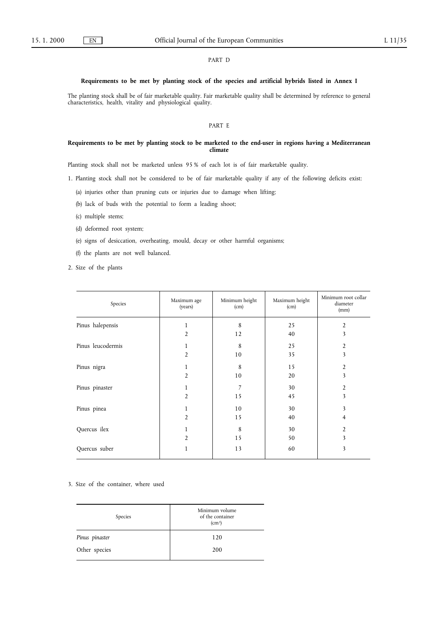# PART D

# **Requirements to be met by planting stock of the species and artificial hybrids listed in Annex I**

The planting stock shall be of fair marketable quality. Fair marketable quality shall be determined by reference to general characteristics, health, vitality and physiological quality.

# PART E

# **Requirements to be met by planting stock to be marketed to the end-user in regions having a Mediterranean climate**

Planting stock shall not be marketed unless 95 % of each lot is of fair marketable quality.

- 1. Planting stock shall not be considered to be of fair marketable quality if any of the following deficits exist:
	- (a) injuries other than pruning cuts or injuries due to damage when lifting;
	- (b) lack of buds with the potential to form a leading shoot;
	- (c) multiple stems;
	- (d) deformed root system;
	- (e) signs of desiccation, overheating, mould, decay or other harmful organisms;
	- (f) the plants are not well balanced.
- 2. Size of the plants

| Species           | Maximum age<br>(years) | Minimum height<br>(cm) | Maximum height<br>(cm) | Minimum root collar<br>diameter<br>(mm) |
|-------------------|------------------------|------------------------|------------------------|-----------------------------------------|
| Pinus halepensis  | 1                      | 8                      | 25                     | 2                                       |
|                   | $\overline{2}$         | 12                     | 40                     | 3                                       |
| Pinus leucodermis | 1                      | 8                      | 25                     | $\overline{2}$                          |
|                   | $\overline{2}$         | 10                     | 35                     | 3                                       |
| Pinus nigra       | 1                      | 8                      | 15                     | 2                                       |
|                   | $\overline{2}$         | 10                     | 20                     | 3                                       |
| Pinus pinaster    | 1                      | 7                      | 30                     | 2                                       |
|                   | $\overline{2}$         | 15                     | 45                     | 3                                       |
| Pinus pinea       | 1                      | 10                     | 30                     | 3                                       |
|                   | 2                      | 15                     | 40                     | 4                                       |
| Quercus ilex      | 1                      | 8                      | 30                     | 2                                       |
|                   | $\overline{2}$         | 15                     | 50                     | 3                                       |
| Quercus suber     | $\mathbf{1}$           | 13                     | 60                     | 3                                       |

#### 3. Size of the container, where used

| Species        | Minimum volume<br>of the container<br>(cm <sup>3</sup> ) |
|----------------|----------------------------------------------------------|
| Pinus pinaster | 120                                                      |
| Other species  | 200                                                      |
|                |                                                          |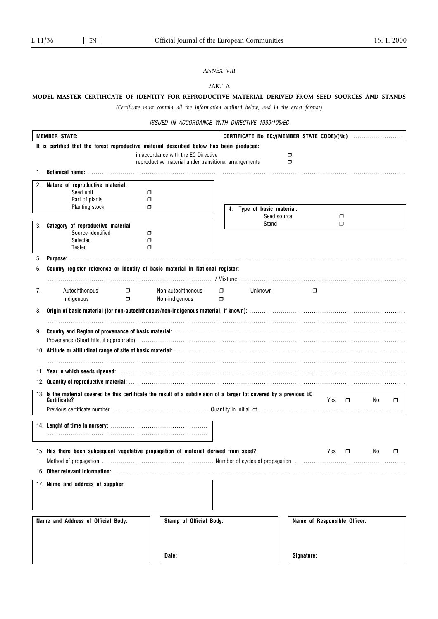# *ANNEX VIII*

PART A

# **MODEL MASTER CERTIFICATE OF IDENTITY FOR REPRODUCTIVE MATERIAL DERIVED FROM SEED SOURCES AND STANDS**

*(Certificate must contain all the information outlined below, and in the exact format)*

ISSUED IN ACCORDANCE WITH DIRECTIVE 1999/105/EC

|    | <b>MEMBER STATE:</b>                                                                                                 |                                                       | CERTIFICATE No EC:/(MEMBER STATE CODE)/(No) |                              |               |     |        |
|----|----------------------------------------------------------------------------------------------------------------------|-------------------------------------------------------|---------------------------------------------|------------------------------|---------------|-----|--------|
|    | It is certified that the forest reproductive material described below has been produced:                             |                                                       |                                             |                              |               |     |        |
|    |                                                                                                                      | in accordance with the EC Directive                   |                                             | ◘                            |               |     |        |
|    |                                                                                                                      | reproductive material under transitional arrangements |                                             | $\Box$                       |               |     |        |
|    |                                                                                                                      |                                                       |                                             |                              |               |     |        |
| 2. | Nature of reproductive material:                                                                                     |                                                       |                                             |                              |               |     |        |
|    | Seed unit                                                                                                            | ◘                                                     |                                             |                              |               |     |        |
|    | Part of plants                                                                                                       | ◘                                                     |                                             |                              |               |     |        |
|    | Planting stock                                                                                                       | ⊓                                                     | 4. Type of basic material:                  |                              |               |     |        |
|    |                                                                                                                      |                                                       |                                             | Seed source                  | □             |     |        |
|    | 3. Category of reproductive material                                                                                 |                                                       | Stand                                       |                              | σ             |     |        |
|    | Source-identified                                                                                                    | $\Box$                                                |                                             |                              |               |     |        |
|    | Selected<br>Tested                                                                                                   | σ<br>$\Box$                                           |                                             |                              |               |     |        |
|    |                                                                                                                      |                                                       |                                             |                              |               |     |        |
| 5. |                                                                                                                      |                                                       |                                             |                              |               |     |        |
|    | Country register reference or identity of basic material in National register:                                       |                                                       |                                             |                              |               |     |        |
|    |                                                                                                                      |                                                       |                                             |                              |               |     |        |
| 7. | Autochthonous<br>$\Box$                                                                                              | Non-autochthonous                                     | Unknown<br>$\Box$                           | $\Box$                       |               |     |        |
|    | Indigenous<br>$\Box$                                                                                                 | Non-indigenous                                        | σ                                           |                              |               |     |        |
| 8. |                                                                                                                      |                                                       |                                             |                              |               |     |        |
|    |                                                                                                                      |                                                       |                                             |                              |               |     |        |
|    |                                                                                                                      |                                                       |                                             |                              |               |     |        |
|    |                                                                                                                      |                                                       |                                             |                              |               |     |        |
|    |                                                                                                                      |                                                       |                                             |                              |               |     |        |
|    |                                                                                                                      |                                                       |                                             |                              |               |     |        |
|    |                                                                                                                      |                                                       |                                             |                              |               |     |        |
|    |                                                                                                                      |                                                       |                                             |                              |               |     |        |
|    |                                                                                                                      |                                                       |                                             |                              |               |     |        |
|    | 13. Is the material covered by this certificate the result of a subdivision of a larger lot covered by a previous EC |                                                       |                                             |                              |               |     |        |
|    | <b>Certificate?</b>                                                                                                  |                                                       |                                             |                              | Yes<br>$\Box$ | No  | $\Box$ |
|    |                                                                                                                      |                                                       |                                             |                              |               |     |        |
|    |                                                                                                                      |                                                       |                                             |                              |               |     |        |
|    |                                                                                                                      |                                                       |                                             |                              |               |     |        |
|    |                                                                                                                      |                                                       |                                             |                              |               |     |        |
|    |                                                                                                                      |                                                       |                                             |                              |               |     |        |
|    | 15. Has there been subsequent vegetative propagation of material derived from seed?                                  |                                                       |                                             |                              | Yes<br>$\Box$ | No. | σ      |
|    |                                                                                                                      |                                                       |                                             |                              |               |     |        |
|    |                                                                                                                      |                                                       |                                             |                              |               |     |        |
|    | 17. Name and address of supplier                                                                                     |                                                       |                                             |                              |               |     |        |
|    |                                                                                                                      |                                                       |                                             |                              |               |     |        |
|    |                                                                                                                      |                                                       |                                             |                              |               |     |        |
|    |                                                                                                                      |                                                       |                                             |                              |               |     |        |
|    | Name and Address of Official Body:                                                                                   | Stamp of Official Body:                               |                                             | Name of Responsible Officer: |               |     |        |
|    |                                                                                                                      |                                                       |                                             |                              |               |     |        |
|    |                                                                                                                      |                                                       |                                             |                              |               |     |        |
|    |                                                                                                                      |                                                       |                                             |                              |               |     |        |
|    |                                                                                                                      | Date:                                                 |                                             | Signature:                   |               |     |        |
|    |                                                                                                                      |                                                       |                                             |                              |               |     |        |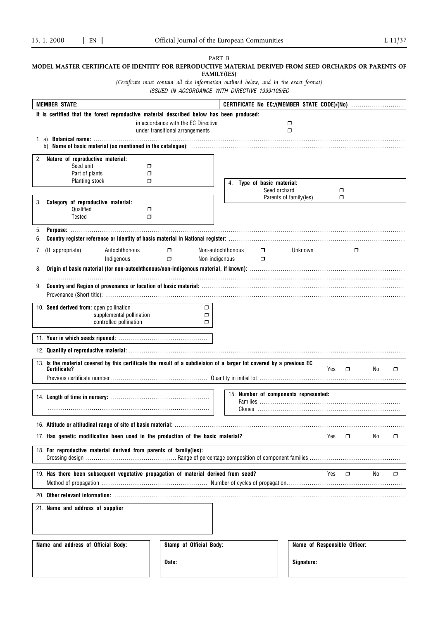|                                                                                                                      | PART B                                                                                                                                    |                                       |                        |                              |     |        |
|----------------------------------------------------------------------------------------------------------------------|-------------------------------------------------------------------------------------------------------------------------------------------|---------------------------------------|------------------------|------------------------------|-----|--------|
| MODEL MASTER CERTIFICATE OF IDENTITY FOR REPRODUCTIVE MATERIAL DERIVED FROM SEED ORCHARDS OR PARENTS OF              | <b>FAMILY(IES)</b>                                                                                                                        |                                       |                        |                              |     |        |
|                                                                                                                      | (Certificate must contain all the information outlined below, and in the exact format)<br>ISSUED IN ACCORDANCE WITH DIRECTIVE 1999/105/EC |                                       |                        |                              |     |        |
| <b>MEMBER STATE:</b>                                                                                                 |                                                                                                                                           |                                       |                        |                              |     |        |
| It is certified that the forest reproductive material described below has been produced:                             |                                                                                                                                           |                                       |                        |                              |     |        |
|                                                                                                                      | in accordance with the EC Directive                                                                                                       |                                       | $\Box$                 |                              |     |        |
|                                                                                                                      | under transitional arrangements                                                                                                           |                                       | $\Box$                 |                              |     |        |
|                                                                                                                      |                                                                                                                                           |                                       |                        |                              |     |        |
| 2.<br>Nature of reproductive material:                                                                               |                                                                                                                                           |                                       |                        |                              |     |        |
| Seed unit<br>$\Box$                                                                                                  |                                                                                                                                           |                                       |                        |                              |     |        |
| Part of plants<br>$\Box$                                                                                             |                                                                                                                                           |                                       |                        |                              |     |        |
| Planting stock<br>$\Box$                                                                                             |                                                                                                                                           | 4. Type of basic material:            |                        |                              |     |        |
|                                                                                                                      |                                                                                                                                           | Seed orchard                          |                        | σ                            |     |        |
| 3. Category of reproductive material:                                                                                |                                                                                                                                           |                                       | Parents of family(ies) | σ                            |     |        |
| Qualified<br>$\Box$                                                                                                  |                                                                                                                                           |                                       |                        |                              |     |        |
| Tested<br>$\Box$                                                                                                     |                                                                                                                                           |                                       |                        |                              |     |        |
| 5.                                                                                                                   |                                                                                                                                           |                                       |                        |                              |     |        |
| 6.                                                                                                                   |                                                                                                                                           |                                       |                        |                              |     |        |
| Autochthonous<br>(If appropriate)<br>7.                                                                              | Non-autochthonous<br>$\Box$                                                                                                               | $\Box$                                | Unknown                | $\Box$                       |     |        |
| Indigenous                                                                                                           | $\Box$<br>Non-indigenous                                                                                                                  | $\Box$                                |                        |                              |     |        |
| 8.                                                                                                                   |                                                                                                                                           |                                       |                        |                              |     |        |
|                                                                                                                      |                                                                                                                                           |                                       |                        |                              |     |        |
|                                                                                                                      |                                                                                                                                           |                                       |                        |                              |     |        |
|                                                                                                                      |                                                                                                                                           |                                       |                        |                              |     |        |
| 10. Seed derived from: open pollination                                                                              | $\Box$                                                                                                                                    |                                       |                        |                              |     |        |
| supplemental pollination                                                                                             | $\Box$                                                                                                                                    |                                       |                        |                              |     |        |
| controlled pollination                                                                                               | $\Box$                                                                                                                                    |                                       |                        |                              |     |        |
|                                                                                                                      |                                                                                                                                           |                                       |                        |                              |     |        |
|                                                                                                                      |                                                                                                                                           |                                       |                        |                              |     |        |
| 13. Is the material covered by this certificate the result of a subdivision of a larger lot covered by a previous EC |                                                                                                                                           |                                       |                        |                              |     |        |
| Certificate?                                                                                                         |                                                                                                                                           |                                       |                        | Yes<br>$\Box$                | No  | $\Box$ |
|                                                                                                                      |                                                                                                                                           |                                       |                        |                              |     |        |
|                                                                                                                      |                                                                                                                                           |                                       |                        |                              |     |        |
|                                                                                                                      |                                                                                                                                           | 15. Number of components represented: |                        |                              |     |        |
|                                                                                                                      |                                                                                                                                           |                                       |                        |                              |     |        |
|                                                                                                                      |                                                                                                                                           |                                       |                        |                              |     |        |
|                                                                                                                      |                                                                                                                                           |                                       |                        |                              |     |        |
| 17. Has genetic modification been used in the production of the basic material?                                      |                                                                                                                                           |                                       |                        | Yes.<br>$\Box$               | No. | $\Box$ |
| 18. For reproductive material derived from parents of family(ies):                                                   |                                                                                                                                           |                                       |                        |                              |     |        |
|                                                                                                                      |                                                                                                                                           |                                       |                        |                              |     |        |
|                                                                                                                      |                                                                                                                                           |                                       |                        |                              |     |        |
| 19. Has there been subsequent vegetative propagation of material derived from seed?                                  |                                                                                                                                           |                                       |                        | Yes<br>$\Box$                | No  | $\Box$ |
|                                                                                                                      |                                                                                                                                           |                                       |                        |                              |     |        |
|                                                                                                                      |                                                                                                                                           |                                       |                        |                              |     |        |
| 21. Name and address of supplier                                                                                     |                                                                                                                                           |                                       |                        |                              |     |        |
|                                                                                                                      |                                                                                                                                           |                                       |                        |                              |     |        |
|                                                                                                                      |                                                                                                                                           |                                       |                        |                              |     |        |
|                                                                                                                      |                                                                                                                                           |                                       |                        |                              |     |        |
| Name and address of Official Body:                                                                                   | Stamp of Official Body:                                                                                                                   |                                       |                        | Name of Responsible Officer: |     |        |
|                                                                                                                      |                                                                                                                                           |                                       |                        |                              |     |        |
|                                                                                                                      | Date:                                                                                                                                     |                                       | Signature:             |                              |     |        |

 $\mathsf{l}$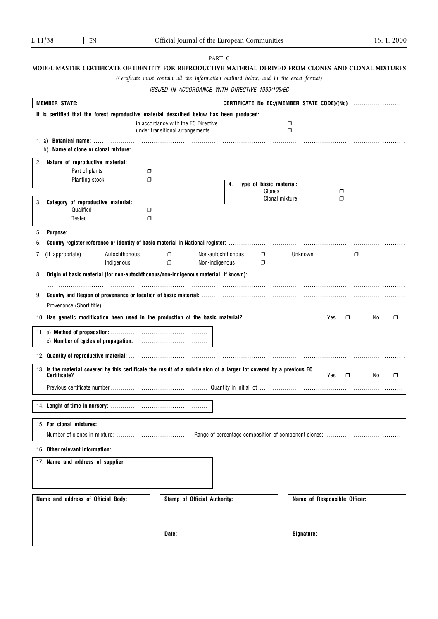## PART C

# **MODEL MASTER CERTIFICATE OF IDENTITY FOR REPRODUCTIVE MATERIAL DERIVED FROM CLONES AND CLONAL MIXTURES**

*(Certificate must contain all the information outlined below, and in the exact format)*

ISSUED IN ACCORDANCE WITH DIRECTIVE 1999/105/EC

| <b>MEMBER STATE:</b>                                                                                                                                                                                                           |                                   |                                     |                         |            |                              |    |   |
|--------------------------------------------------------------------------------------------------------------------------------------------------------------------------------------------------------------------------------|-----------------------------------|-------------------------------------|-------------------------|------------|------------------------------|----|---|
| It is certified that the forest reproductive material described below has been produced:                                                                                                                                       |                                   |                                     |                         |            |                              |    |   |
|                                                                                                                                                                                                                                |                                   | in accordance with the EC Directive |                         | $\Box$     |                              |    |   |
|                                                                                                                                                                                                                                |                                   | under transitional arrangements     |                         | $\Box$     |                              |    |   |
|                                                                                                                                                                                                                                |                                   |                                     |                         |            |                              |    |   |
| 2. Nature of reproductive material:                                                                                                                                                                                            |                                   |                                     |                         |            |                              |    |   |
| Part of plants                                                                                                                                                                                                                 | ο.                                |                                     |                         |            |                              |    |   |
| Planting stock                                                                                                                                                                                                                 | $\Box$                            | 4.                                  | Type of basic material: |            |                              |    |   |
|                                                                                                                                                                                                                                |                                   |                                     | Clones                  |            | $\Box$                       |    |   |
| Category of reproductive material:<br>3.                                                                                                                                                                                       |                                   |                                     | Clonal mixture          |            | $\Box$                       |    |   |
| Qualified                                                                                                                                                                                                                      | $\Box$                            |                                     |                         |            |                              |    |   |
| Tested                                                                                                                                                                                                                         | σ                                 |                                     |                         |            |                              |    |   |
| 5.                                                                                                                                                                                                                             |                                   |                                     |                         |            |                              |    |   |
| 6.                                                                                                                                                                                                                             |                                   |                                     |                         |            |                              |    |   |
| (If appropriate)<br>7.<br>Indigenous                                                                                                                                                                                           | Autochthonous<br>$\Box$<br>$\Box$ | Non-autochthonous<br>Non-indigenous | $\Box$<br>$\Box$        | Unknown    | $\Box$                       |    |   |
| 8.                                                                                                                                                                                                                             |                                   |                                     |                         |            |                              |    |   |
|                                                                                                                                                                                                                                |                                   |                                     |                         |            |                              |    |   |
| Provenance (Short title): www.communically.communically.communically.communically.communically.communically.communically.communically.communically.communically.communically.communically.communically.communically.communical |                                   |                                     |                         |            |                              |    |   |
| 10. Has genetic modification been used in the production of the basic material?                                                                                                                                                |                                   |                                     |                         |            | Yes<br>$\Box$                | No | ⊓ |
|                                                                                                                                                                                                                                |                                   |                                     |                         |            |                              |    |   |
|                                                                                                                                                                                                                                |                                   |                                     |                         |            |                              |    |   |
|                                                                                                                                                                                                                                |                                   |                                     |                         |            |                              |    |   |
| 13. Is the material covered by this certificate the result of a subdivision of a larger lot covered by a previous EC<br>Certificate?                                                                                           |                                   |                                     |                         |            | Yes<br>$\Box$                | No | σ |
|                                                                                                                                                                                                                                |                                   |                                     |                         |            |                              |    |   |
|                                                                                                                                                                                                                                |                                   |                                     |                         |            |                              |    |   |
|                                                                                                                                                                                                                                |                                   |                                     |                         |            |                              |    |   |
| 15. For clonal mixtures:                                                                                                                                                                                                       |                                   |                                     |                         |            |                              |    |   |
|                                                                                                                                                                                                                                |                                   |                                     |                         |            |                              |    |   |
|                                                                                                                                                                                                                                |                                   |                                     |                         |            |                              |    |   |
| 17. Name and address of supplier                                                                                                                                                                                               |                                   |                                     |                         |            |                              |    |   |
|                                                                                                                                                                                                                                |                                   |                                     |                         |            |                              |    |   |
|                                                                                                                                                                                                                                |                                   |                                     |                         |            |                              |    |   |
| Name and address of Official Body:                                                                                                                                                                                             |                                   | Stamp of Official Authority:        |                         |            | Name of Responsible Officer: |    |   |
|                                                                                                                                                                                                                                |                                   |                                     |                         |            |                              |    |   |
|                                                                                                                                                                                                                                |                                   |                                     |                         |            |                              |    |   |
|                                                                                                                                                                                                                                |                                   |                                     |                         |            |                              |    |   |
|                                                                                                                                                                                                                                | Date:                             |                                     |                         | Signature: |                              |    |   |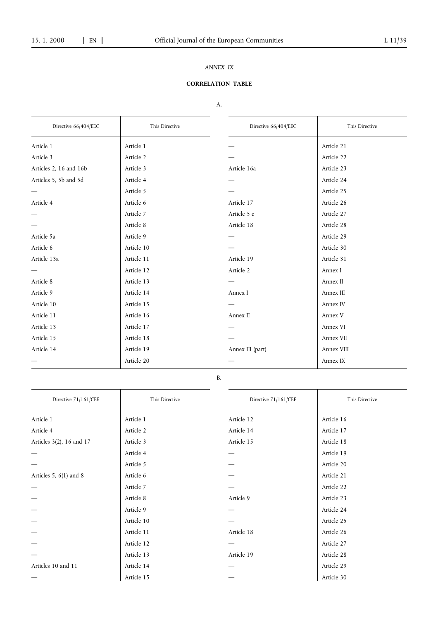# *ANNEX IX*

# **CORRELATION TABLE**

# A.

| Directive 66/404/EEC   | This Directive | Directive 66/404/EEC | This Directive |
|------------------------|----------------|----------------------|----------------|
| Article 1              | Article 1      |                      | Article 21     |
| Article 3              | Article 2      |                      | Article 22     |
| Articles 2, 16 and 16b | Article 3      | Article 16a          | Article 23     |
| Articles 5, 5b and 5d  | Article 4      |                      | Article 24     |
|                        | Article 5      |                      | Article 25     |
| Article 4              | Article 6      | Article 17           | Article 26     |
|                        | Article 7      | Article 5 e          | Article 27     |
|                        | Article 8      | Article 18           | Article 28     |
| Article 5a             | Article 9      |                      | Article 29     |
| Article 6              | Article 10     |                      | Article 30     |
| Article 13a            | Article 11     | Article 19           | Article 31     |
|                        | Article 12     | Article 2            | Annex I        |
| Article 8              | Article 13     |                      | Annex II       |
| Article 9              | Article 14     | Annex I              | Annex III      |
| Article 10             | Article 15     |                      | Annex IV       |
| Article 11             | Article 16     | Annex II             | Annex V        |
| Article 13             | Article 17     |                      | Annex VI       |
| Article 15             | Article 18     |                      | Annex VII      |
| Article 14             | Article 19     | Annex III (part)     | Annex VIII     |
|                        | Article 20     |                      | Annex IX       |

# B.

| Directive 71/161/CEE     | This Directive | Directive 71/161/CEE | This Directive |
|--------------------------|----------------|----------------------|----------------|
| Article 1                | Article 1      | Article 12           | Article 16     |
| Article 4                | Article 2      | Article 14           | Article 17     |
| Articles 3(2), 16 and 17 | Article 3      | Article 15           | Article 18     |
|                          | Article 4      |                      | Article 19     |
|                          | Article 5      |                      | Article 20     |
| Articles 5, $6(1)$ and 8 | Article 6      |                      | Article 21     |
|                          | Article 7      |                      | Article 22     |
|                          | Article 8      | Article 9            | Article 23     |
|                          | Article 9      |                      | Article 24     |
|                          | Article 10     |                      | Article 25     |
|                          | Article 11     | Article 18           | Article 26     |
|                          | Article 12     |                      | Article 27     |
|                          | Article 13     | Article 19           | Article 28     |
| Articles 10 and 11       | Article 14     |                      | Article 29     |
|                          | Article 15     |                      | Article 30     |